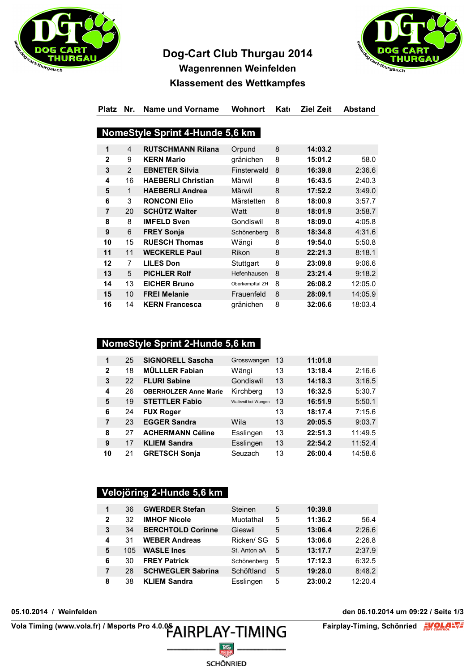

# Dog-Cart Club Thurgau 2014



## Wagenrennen Weinfelden **Klassement des Wettkampfes**

#### Platz Nr. Name und Vorname Wohnort Kate Ziel Zeit **Abstand**

#### NomeStyle Sprint 4-Hunde 5,6 km

| 1              | 4              | <b>RUTSCHMANN Rilana</b>  | Orpund          | 8 | 14:03.2 |         |
|----------------|----------------|---------------------------|-----------------|---|---------|---------|
| $\mathbf{2}$   | 9              | <b>KERN Mario</b>         | gränichen       | 8 | 15:01.2 | 58.0    |
| 3              | 2              | <b>EBNETER Silvia</b>     | Finsterwald     | 8 | 16:39.8 | 2:36.6  |
| 4              | 16             | <b>HAEBERLI Christian</b> | Märwil          | 8 | 16:43.5 | 2:40.3  |
| 5              | 1              | <b>HAEBERLI Andrea</b>    | Märwil          | 8 | 17:52.2 | 3:49.0  |
| 6              | 3              | <b>RONCONI Elio</b>       | Märstetten      | 8 | 18:00.9 | 3:57.7  |
| $\overline{7}$ | 20             | <b>SCHÜTZ Walter</b>      | Watt            | 8 | 18:01.9 | 3:58.7  |
| 8              | 8              | <b>IMFELD Sven</b>        | Gondiswil       | 8 | 18:09.0 | 4:05.8  |
| 9              | 6              | <b>FREY Sonja</b>         | Schönenberg     | 8 | 18:34.8 | 4:31.6  |
| 10             | 15             | <b>RUESCH Thomas</b>      | Wängi           | 8 | 19:54.0 | 5:50.8  |
| 11             | 11             | <b>WECKERLE Paul</b>      | Rikon           | 8 | 22:21.3 | 8:18.1  |
| 12             | $\overline{7}$ | <b>LILES Don</b>          | Stuttgart       | 8 | 23:09.8 | 9:06.6  |
| 13             | 5              | <b>PICHLER Rolf</b>       | Hefenhausen     | 8 | 23:21.4 | 9:18.2  |
| 14             | 13             | <b>EICHER Bruno</b>       | Oberkempttal ZH | 8 | 26:08.2 | 12:05.0 |
| 15             | 10             | <b>FREI Melanie</b>       | Frauenfeld      | 8 | 28:09.1 | 14:05.9 |
| 16             | 14             | <b>KERN Francesca</b>     | gränichen       | 8 | 32:06.6 | 18:03.4 |

## NomeStyle Sprint 2-Hunde 5,6 km

| $\blacktriangleleft$ | 25 | <b>SIGNORELL Sascha</b>      | Grosswangen          | 13 | 11:01.8 |         |
|----------------------|----|------------------------------|----------------------|----|---------|---------|
| $\mathbf{2}$         | 18 | <b>MÜLLLER Fabian</b>        | Wängi                | 13 | 13:18.4 | 2:16.6  |
| 3                    | 22 | <b>FLURI Sabine</b>          | Gondiswil            | 13 | 14:18.3 | 3:16.5  |
| 4                    | 26 | <b>OBERHOLZER Anne Marie</b> | Kirchberg            | 13 | 16:32.5 | 5:30.7  |
| 5                    | 19 | <b>STETTLER Fabio</b>        | Walliswil bei Wangen | 13 | 16:51.9 | 5:50.1  |
| 6                    | 24 | <b>FUX Roger</b>             |                      | 13 | 18:17.4 | 7:15.6  |
| 7                    | 23 | <b>EGGER Sandra</b>          | Wila                 | 13 | 20:05.5 | 9:03.7  |
| 8                    | 27 | <b>ACHERMANN Céline</b>      | Esslingen            | 13 | 22:51.3 | 11:49.5 |
| 9                    | 17 | <b>KLIEM Sandra</b>          | Esslingen            | 13 | 22:54.2 | 11:52.4 |
| 10                   | 21 | <b>GRETSCH Sonja</b>         | Seuzach              | 13 | 26:00.4 | 14:58.6 |

#### Velojöring 2-Hunde 5,6 km

| 1            | 36  | <b>GWERDER Stefan</b>    | Steinen      | 5 | 10:39.8 |         |
|--------------|-----|--------------------------|--------------|---|---------|---------|
| $\mathbf{2}$ | 32  | <b>IMHOF Nicole</b>      | Muotathal    | 5 | 11:36.2 | 56.4    |
| 3            | 34  | <b>BERCHTOLD Corinne</b> | Gieswil      | 5 | 13:06.4 | 2:26.6  |
| 4            | 31  | <b>WEBER Andreas</b>     | Ricken/ SG   | 5 | 13:06.6 | 2:26.8  |
| 5            | 105 | <b>WASLE Ines</b>        | St. Anton aA | 5 | 13:17.7 | 2:37.9  |
| 6            | 30  | <b>FREY Patrick</b>      | Schönenberg  | 5 | 17:12.3 | 6:32.5  |
| 7            | 28  | <b>SCHWEGLER Sabrina</b> | Schöftland   | 5 | 19:28.0 | 8:48.2  |
| 8            | 38  | <b>KLIEM Sandra</b>      | Esslingen    | 5 | 23:00.2 | 12:20.4 |

SCHÖNRIED

05.10.2014 / Weinfelden

Vola Timing (www.vola.fr) / Msports Pro 4.0.05 AIRPLAY-TIMING

den 06.10.2014 um 09:22 / Seite 1/3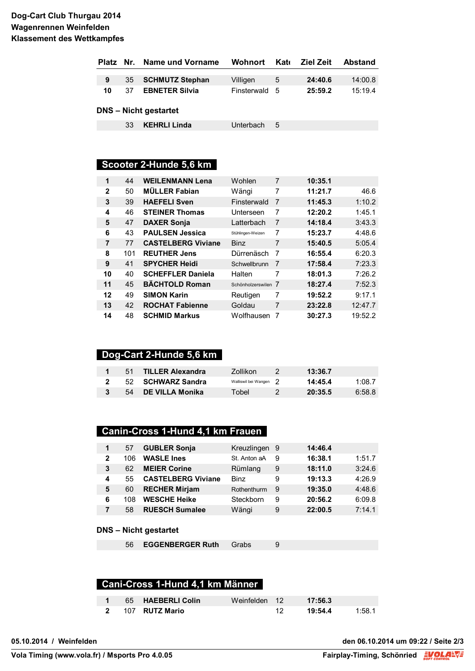#### Dog-Cart Club Thurgau 2014 Wagenrennen Weinfelden **Klassement des Wettkampfes**

|    |    | Platz Nr. Name und Vorname | <b>Wohnort</b> | Kato | <b>Ziel Zeit</b> | <b>Abstand</b> |
|----|----|----------------------------|----------------|------|------------------|----------------|
|    |    |                            |                |      |                  |                |
| 9  | 35 | <b>SCHMUTZ Stephan</b>     | Villigen       | 5    | 24:40.6          | 14:00.8        |
| 10 | 37 | <b>EBNETER Silvia</b>      | Finsterwald 5  |      | 25:59.2          | 15:19.4        |
|    |    | DNS – Nicht gestartet      |                |      |                  |                |
|    | 33 | <b>KEHRLI Linda</b>        | Unterbach      | 5    |                  |                |

## Scooter 2-Hunde 5,6 km

| 1              | 44  | <b>WEILENMANN Lena</b>    | Wohlen              | 7 | 10:35.1 |         |
|----------------|-----|---------------------------|---------------------|---|---------|---------|
| $\mathbf{2}$   | 50  | <b>MÜLLER Fabian</b>      | Wängi               | 7 | 11:21.7 | 46.6    |
| 3              | 39  | <b>HAEFELI Sven</b>       | Finsterwald         | 7 | 11:45.3 | 1:10.2  |
| 4              | 46  | <b>STEINER Thomas</b>     | Unterseen           | 7 | 12:20.2 | 1:45.1  |
| 5              | 47  | <b>DAXER Sonja</b>        | Latterbach          | 7 | 14:18.4 | 3:43.3  |
| 6              | 43  | <b>PAULSEN Jessica</b>    | Stühlingen-Weizen   | 7 | 15:23.7 | 4:48.6  |
| $\overline{7}$ | 77  | <b>CASTELBERG Viviane</b> | <b>Binz</b>         | 7 | 15:40.5 | 5:05.4  |
| 8              | 101 | <b>REUTHER Jens</b>       | Dürrenäsch          | 7 | 16:55.4 | 6:20.3  |
| 9              | 41  | <b>SPYCHER Heidi</b>      | Schwellbrunn        | 7 | 17:58.4 | 7:23.3  |
| 10             | 40  | <b>SCHEFFLER Daniela</b>  | Halten              | 7 | 18:01.3 | 7:26.2  |
| 11             | 45  | <b>BÄCHTOLD Roman</b>     | Schönholzerswilen 7 |   | 18:27.4 | 7:52.3  |
| 12             | 49  | <b>SIMON Karin</b>        | Reutigen            | 7 | 19:52.2 | 9:17.1  |
| 13             | 42  | <b>ROCHAT Fabienne</b>    | Goldau              | 7 | 23:22.8 | 12:47.7 |
| 14             | 48  | <b>SCHMID Markus</b>      | Wolfhausen          | 7 | 30:27.3 | 19:52.2 |

## Dog-Cart 2-Hunde 5,6 km

| 51 | <b>TILLER Alexandra</b> | Zollikon               | 13:36.7 |        |
|----|-------------------------|------------------------|---------|--------|
|    | 52 SCHWARZ Sandra       | Walliswil bei Wangen 2 | 14:45.4 | 1:08.7 |
| 54 | DE VILLA Monika         | Tobel                  | 20:35.5 | 6:58.8 |

#### Canin-Cross 1-Hund 4,1 km Frauen

| $\mathbf{1}$ | 57  | <b>GUBLER Sonja</b>       | Kreuzlingen 9 |   | 14:46.4 |        |
|--------------|-----|---------------------------|---------------|---|---------|--------|
| $\mathbf{2}$ | 106 | <b>WASLE Ines</b>         | St. Anton aA  | 9 | 16:38.1 | 1:51.7 |
| 3            | 62  | <b>MEIER Corine</b>       | Rümlang       | 9 | 18:11.0 | 3:24.6 |
| 4            | 55  | <b>CASTELBERG Viviane</b> | <b>Binz</b>   | 9 | 19:13.3 | 4:26.9 |
| 5            | 60  | <b>RECHER Mirjam</b>      | Rothenthurm   | 9 | 19:35.0 | 4:48.6 |
| 6            | 108 | <b>WESCHE Heike</b>       | Steckborn     | 9 | 20:56.2 | 6:09.8 |
| 7            | 58  | <b>RUESCH Sumalee</b>     | Wängi         | 9 | 22:00.5 | 7:14.1 |

#### **DNS - Nicht gestartet**

56 EGGENBERGER Ruth Grabs

### Cani-Cross 1-Hund 4,1 km Männer

|  | 65 HAEBERLI Colin | Weinfelden 12 <b>17:56.3</b> |         |        |
|--|-------------------|------------------------------|---------|--------|
|  | 2 107 RUTZ Mario  |                              | 19:54.4 | 1:58.1 |

 $\boldsymbol{9}$ 

05.10.2014 / Weinfelden